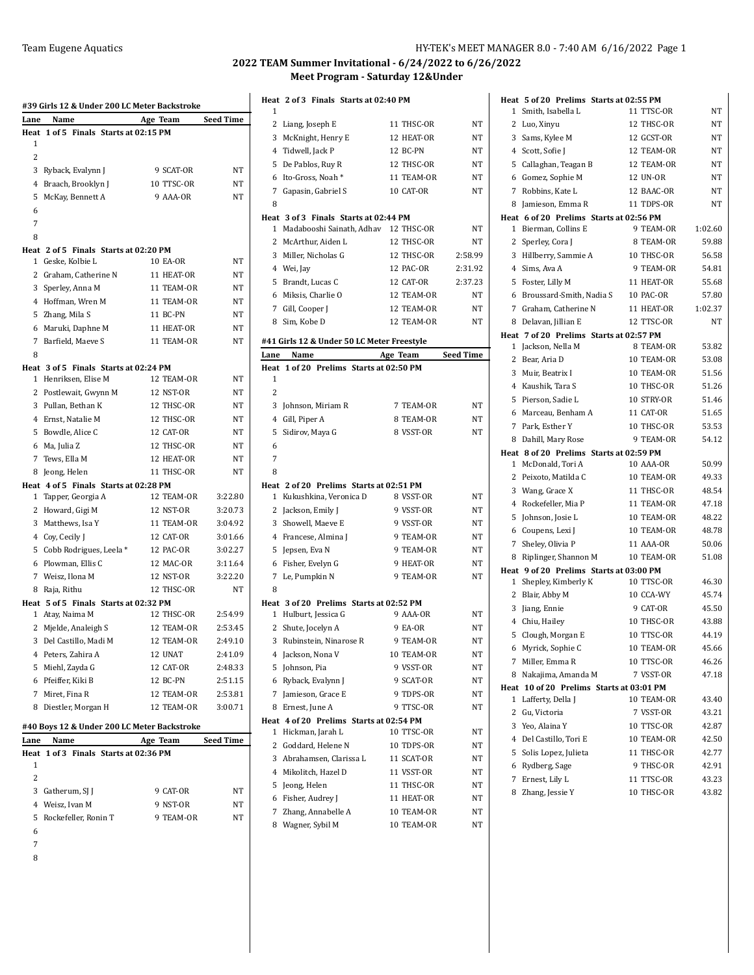| Heat<br>1      | 1 of 5 Finals Starts at 02:15 PM              |                         |             |
|----------------|-----------------------------------------------|-------------------------|-------------|
|                |                                               |                         |             |
|                |                                               |                         |             |
| $\overline{c}$ |                                               |                         |             |
|                | 3 Ryback, Evalynn J                           | 9 SCAT-OR               | NT          |
|                | 4 Braach, Brooklyn J                          | 10 TTSC-OR              | <b>NT</b>   |
|                | 5 McKay, Bennett A                            | 9 AAA-OR                | <b>NT</b>   |
| 6              |                                               |                         |             |
| 7              |                                               |                         |             |
| 8              |                                               |                         |             |
|                | Heat 2 of 5 Finals Starts at 02:20 PM         |                         |             |
|                | 1 Geske, Kolbie L                             | <b>10 EA-OR</b>         | NT          |
|                | 2 Graham, Catherine N                         | 11 HEAT-OR              | NT          |
|                | 3 Sperley, Anna M                             | 11 TEAM-OR              | NT          |
|                | 4 Hoffman, Wren M                             | 11 TEAM-OR              | NΤ          |
|                | 5 Zhang, Mila S                               | 11 BC-PN                | NT          |
|                | 6 Maruki, Daphne M                            | 11 HEAT-OR              | NT          |
|                | 7 Barfield, Maeve S                           | 11 TEAM-OR              | NT          |
| 8              |                                               |                         |             |
|                | Heat 3 of 5 Finals Starts at 02:24 PM         |                         | $_{\rm NT}$ |
|                | 1 Henriksen, Elise M<br>2 Postlewait, Gwynn M | 12 TEAM-OR<br>12 NST-OR | NT          |
|                | 3 Pullan, Bethan K                            | 12 THSC-OR              | NT          |
|                | 4 Ernst, Natalie M                            | 12 THSC-OR              | <b>NT</b>   |
|                |                                               | 12 CAT-OR               | NT          |
|                | 5 Bowdle, Alice C<br>6 Ma, Julia Z            | 12 THSC-OR              | <b>NT</b>   |
|                | 7 Tews, Ella M                                | 12 HEAT-OR              | NT          |
|                | 8 Jeong, Helen                                | 11 THSC-OR              | <b>NT</b>   |
|                | Heat 4 of 5 Finals Starts at 02:28 PM         |                         |             |
|                | 1 Tapper, Georgia A                           | 12 TEAM-OR              | 3:22.80     |
|                | 2 Howard, Gigi M                              | 12 NST-OR               | 3:20.73     |
|                | 3 Matthews, Isa Y                             | 11 TEAM-OR              | 3:04.92     |
|                | 4 Coy, Cecily J                               | 12 CAT-OR               | 3:01.66     |
|                | 5 Cobb Rodrigues, Leela *                     | 12 PAC-OR               | 3:02.27     |
|                | 6 Plowman, Ellis C                            | 12 MAC-OR               | 3:11.64     |
|                | 7 Weisz, Ilona M                              | 12 NST-OR               | 3:22.20     |
|                | 8 Raja, Rithu                                 | 12 THSC-OR              | NT          |
|                | Heat 5 of 5 Finals Starts at 02:32 PM         |                         |             |
|                | 1 Atay, Naima M                               | 12 THSC-OR              | 2:54.99     |
|                | 2 Mjelde, Analeigh S                          | 12 TEAM-OR              | 2:53.45     |
|                | 3 Del Castillo, Madi M                        | 12 TEAM-OR              | 2:49.10     |
|                | 4 Peters, Zahira A                            | 12 UNAT                 | 2:41.09     |
|                | 5 Miehl, Zayda G                              | 12 CAT-OR               | 2:48.33     |
|                | 6 Pfeiffer, Kiki B                            | 12 BC-PN                | 2:51.15     |
|                | 7 Miret, Fina R                               | 12 TEAM-OR              | 2:53.81     |
|                | 8 Diestler, Morgan H                          | 12 TEAM-OR              | 3:00.71     |
|                | #40 Boys 12 & Under 200 LC Meter Backstroke   |                         |             |

| Lane | Name                   |                                       | Age Team  | <b>Seed Time</b> |
|------|------------------------|---------------------------------------|-----------|------------------|
|      |                        | Heat 1 of 3 Finals Starts at 02:36 PM |           |                  |
| 1    |                        |                                       |           |                  |
| 2    |                        |                                       |           |                  |
|      | 3 Gatherum, SI I       |                                       | 9 CAT-OR  | NT               |
|      | 4 Weisz, Ivan M        |                                       | 9 NST-OR  | NT               |
|      | 5 Rockefeller, Ronin T |                                       | 9 TEAM-OR | NT               |
| 6    |                        |                                       |           |                  |
|      |                        |                                       |           |                  |
|      |                        |                                       |           |                  |

|                | Heat 2 of 3 Finals Starts at 02:40 PM                                         |                          |                  |
|----------------|-------------------------------------------------------------------------------|--------------------------|------------------|
| 1              |                                                                               |                          |                  |
| 2              | Liang, Joseph E                                                               | 11 THSC-OR               | NT               |
|                | 3 McKnight, Henry E                                                           | 12 HEAT-OR               | NT               |
|                | 4 Tidwell, Jack P                                                             | 12 BC-PN                 | NT               |
| 5              | De Pablos, Ruy R                                                              | 12 THSC-OR               | NT               |
| 6              | Ito-Gross, Noah*                                                              | 11 TEAM-OR               | NΤ               |
| 7              | Gapasin, Gabriel S                                                            | 10 CAT-OR                | NT               |
| 8              |                                                                               |                          |                  |
| 1              | Heat 3 of 3 Finals Starts at 02:44 PM<br>Madabooshi Sainath, Adhav 12 THSC-OR |                          | NT               |
| 2              | McArthur, Aiden L                                                             | 12 THSC-OR               | NT               |
| 3              | Miller, Nicholas G                                                            | 12 THSC-OR               | 2:58.99          |
|                | 4 Wei, Jay                                                                    | 12 PAC-OR                | 2:31.92          |
|                |                                                                               | 12 CAT-OR                | 2:37.23          |
| 5              | Brandt, Lucas C                                                               |                          |                  |
| 6              | Miksis, Charlie O                                                             | 12 TEAM-OR               | NT               |
|                | 7 Gill, Cooper J                                                              | 12 TEAM-OR               | NT<br>NT         |
| 8              | Sim, Kobe D                                                                   | 12 TEAM-OR               |                  |
|                | #41 Girls 12 & Under 50 LC Meter Freestyle                                    |                          |                  |
| Lane           | Name                                                                          | Age Team                 | <b>Seed Time</b> |
| Heat           | 1 of 20 Prelims Starts at 02:50 PM                                            |                          |                  |
| 1              |                                                                               |                          |                  |
| 2              |                                                                               |                          |                  |
| 3              | Johnson, Miriam R                                                             | 7 TEAM-OR                | <b>NT</b>        |
|                | 4 Gill, Piper A                                                               | 8 TEAM-OR                | NT               |
| 5              | Sidirov, Maya G                                                               | 8 VSST-OR                | NT               |
| 6              |                                                                               |                          |                  |
| 7              |                                                                               |                          |                  |
| 8              |                                                                               |                          |                  |
|                | Heat 2 of 20 Prelims Starts at 02:51 PM                                       |                          |                  |
| 1              | Kukushkina, Veronica D                                                        | 8 VSST-OR                | NT               |
| 2              | Jackson, Emily J                                                              | 9 VSST-OR                | NT               |
| 3              | Showell, Maeve E                                                              | 9 VSST-OR                | NT               |
|                | 4 Francese, Almina J                                                          | 9 TEAM-OR                | NT               |
| 5              | Jepsen, Eva N                                                                 | 9 TEAM-OR                | NT               |
| 6              | Fisher, Evelyn G                                                              | 9 HEAT-OR                | NT               |
| 7              | Le, Pumpkin N                                                                 | 9 TEAM-OR                | NT               |
| 8              |                                                                               |                          |                  |
| 1              | Heat 3 of 20 Prelims Starts at 02:52 PM<br>Hulburt, Jessica G                 | 9 AAA-OR                 | NT               |
| 2              | Shute, Jocelyn A                                                              | 9 EA-OR                  | NT               |
| 3              | Rubinstein, Ninarose R                                                        | 9 TEAM-OR                | NT               |
| 4              | Jackson, Nona V                                                               | 10 TEAM-OR               | NT               |
| 5              | Johnson, Pia                                                                  | 9 VSST-OR                | NT               |
|                | 6 Ryback, Evalynn J                                                           | 9 SCAT-OR                | NT               |
| $\overline{7}$ | Jamieson, Grace E                                                             | 9 TDPS-OR                | NT               |
| 8              | Ernest, June A                                                                | 9 TTSC-OR                | NT               |
|                | Heat 4 of 20 Prelims Starts at 02:54 PM                                       |                          |                  |
| 1              | Hickman, Jarah L                                                              | 10 TTSC-OR               | NT               |
| 2              | Goddard, Helene N                                                             | 10 TDPS-OR               | NT               |
| 3              | Abrahamsen, Clarissa L                                                        | 11 SCAT-OR               | NT               |
|                | 4 Mikolitch, Hazel D                                                          | 11 VSST-OR               | NT               |
| 5              | Jeong, Helen                                                                  | 11 THSC-OR               | NT               |
| 6              |                                                                               |                          |                  |
|                |                                                                               |                          |                  |
|                | Fisher, Audrey J                                                              | 11 HEAT-OR               | NT               |
| 7<br>8         | Zhang, Annabelle A<br>Wagner, Sybil M                                         | 10 TEAM-OR<br>10 TEAM-OR | NT<br>NΤ         |

|             | Heat 5 of 20 Prelims Starts at 02:55 PM                       |            |         |
|-------------|---------------------------------------------------------------|------------|---------|
| 1           | Smith, Isabella L                                             | 11 TTSC-OR | NΤ      |
|             | 2 Luo, Xinyu                                                  | 12 THSC-OR | NT      |
| 3           | Sams, Kylee M                                                 | 12 GCST-OR | NT      |
|             | 4 Scott, Sofie J                                              | 12 TEAM-OR | NT      |
| 5           | Callaghan, Teagan B                                           | 12 TEAM-OR | NT      |
|             | 6 Gomez, Sophie M                                             | 12 UN-OR   | NΤ      |
|             | 7 Robbins, Kate L                                             | 12 BAAC-OR | NT      |
|             | 8 Jamieson, Emma R                                            | 11 TDPS-OR | NT      |
|             | Heat 6 of 20 Prelims Starts at 02:56 PM                       |            |         |
|             | 1 Bierman, Collins E                                          | 9 TEAM-OR  | 1:02.60 |
|             | 2 Sperley, Cora J                                             | 8 TEAM-OR  | 59.88   |
| 3           | Hillberry, Sammie A                                           | 10 THSC-OR | 56.58   |
| 4           | Sims, Ava A                                                   | 9 TEAM-OR  | 54.81   |
| 5           | Foster, Lilly M                                               | 11 HEAT-OR | 55.68   |
|             | 6 Broussard-Smith, Nadia S                                    | 10 PAC-OR  | 57.80   |
| 7           | Graham, Catherine N                                           | 11 HEAT-OR | 1:02.37 |
|             | 8 Delavan, Jillian E                                          | 12 TTSC-OR | NΤ      |
| 1           | Heat 7 of 20 Prelims Starts at 02:57 PM<br>Jackson, Nella M   | 8 TEAM-OR  | 53.82   |
| 2           | Bear, Aria D                                                  | 10 TEAM-OR | 53.08   |
| 3           | Muir, Beatrix I                                               | 10 TEAM-OR | 51.56   |
| 4           | Kaushik, Tara S                                               | 10 THSC-OR | 51.26   |
| 5           | Pierson, Sadie L                                              | 10 STRY-OR | 51.46   |
| 6           | Marceau, Benham A                                             | 11 CAT-OR  | 51.65   |
| 7           | Park, Esther Y                                                | 10 THSC-OR | 53.53   |
| 8           | Dahill, Mary Rose                                             | 9 TEAM-OR  | 54.12   |
|             | Heat 8 of 20 Prelims Starts at 02:59 PM                       |            |         |
| 1           | McDonald, Tori A                                              | 10 AAA-OR  | 50.99   |
| 2           | Peixoto, Matilda C                                            | 10 TEAM-OR | 49.33   |
| 3           | Wang, Grace X                                                 | 11 THSC-OR | 48.54   |
| $4^{\circ}$ | Rockefeller, Mia P                                            | 11 TEAM-OR | 47.18   |
| 5           | Johnson, Josie L                                              | 10 TEAM-OR | 48.22   |
|             | 6 Coupens, Lexi J                                             | 10 TEAM-OR | 48.78   |
| 7           | Sheley, Olivia P                                              | 11 AAA-OR  | 50.06   |
| 8           | Riplinger, Shannon M                                          | 10 TEAM-OR | 51.08   |
|             | Heat 9 of 20 Prelims Starts at 03:00 PM                       |            |         |
| 1           | Shepley, Kimberly K                                           | 10 TTSC-OR | 46.30   |
| 2           | Blair, Abby M                                                 | 10 CCA-WY  | 45.74   |
| 3           | Jiang, Ennie                                                  | 9 CAT-OR   | 45.50   |
|             | 4 Chiu, Hailey                                                | 10 THSC-OR | 43.88   |
|             | 5 Clough, Morgan E                                            | 10 TTSC-OR | 44.19   |
|             | 6 Myrick, Sophie C                                            | 10 TEAM-OR | 45.66   |
|             | 7 Miller, Emma R                                              | 10 TTSC-OR | 46.26   |
| 8           | Nakajima, Amanda M                                            | 7 VSST-OR  | 47.18   |
| 1           | Heat 10 of 20 Prelims Starts at 03:01 PM<br>Lafferty, Della J | 10 TEAM-OR | 43.40   |
|             | 2 Gu, Victoria                                                | 7 VSST-OR  | 43.21   |
|             | 3 Yeo, Alaina Y                                               | 10 TTSC-OR | 42.87   |
|             | 4 Del Castillo, Tori E                                        | 10 TEAM-OR | 42.50   |
|             | 5 Solis Lopez, Julieta                                        | 11 THSC-OR | 42.77   |
|             | 6 Rydberg, Sage                                               | 9 THSC-OR  | 42.91   |
| 7           | Ernest, Lily L                                                | 11 TTSC-OR | 43.23   |
| 8           | Zhang, Jessie Y                                               | 10 THSC-OR | 43.82   |
|             |                                                               |            |         |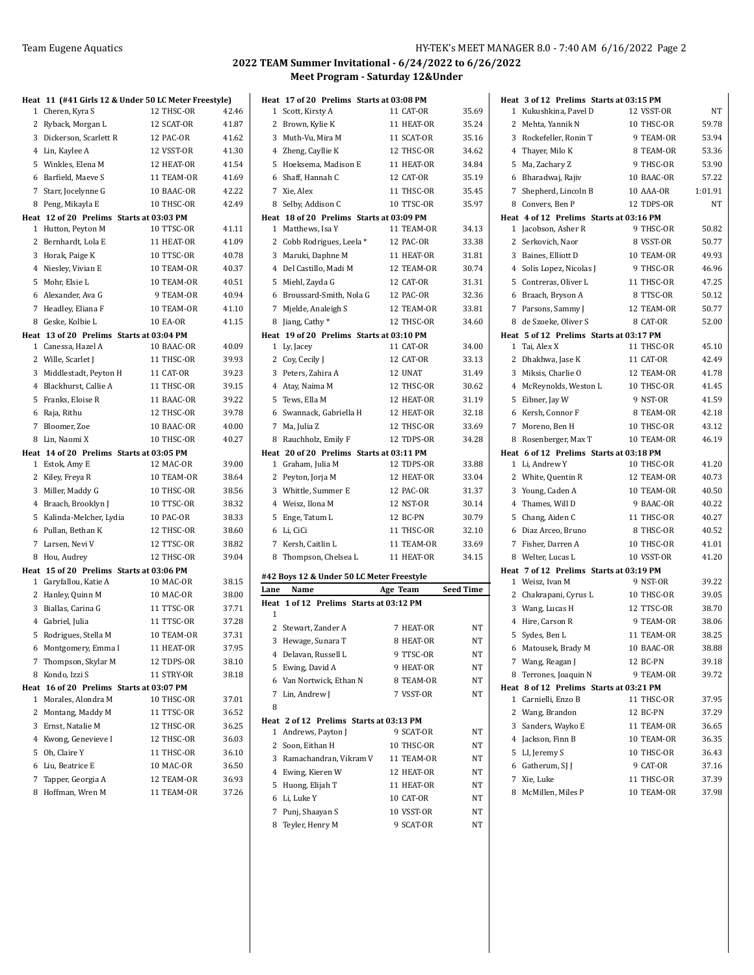|   | Heat 11 (#41 Girls 12 & Under 50 LC Meter Freestyle)           |                          |                |
|---|----------------------------------------------------------------|--------------------------|----------------|
|   | 1 Cheren, Kyra S                                               | 12 THSC-OR               | 42.46          |
|   | 2 Ryback, Morgan L                                             | 12 SCAT-OR               | 41.87          |
|   | 3 Dickerson, Scarlett R                                        | 12 PAC-OR                | 41.62          |
|   | 4 Lin, Kaylee A                                                | 12 VSST-OR               | 41.30          |
|   | 5 Winkles, Elena M                                             | 12 HEAT-OR               | 41.54          |
|   | 6 Barfield, Maeve S                                            | 11 TEAM-OR               | 41.69          |
|   | 7 Starr, Jocelynne G                                           | 10 BAAC-OR               | 42.22          |
|   | 8 Peng, Mikayla E                                              | 10 THSC-OR               | 42.49          |
|   | Heat 12 of 20 Prelims Starts at 03:03 PM                       |                          |                |
|   | 1 Hutton, Peyton M                                             | 10 TTSC-OR               | 41.11          |
|   | 2 Bernhardt, Lola E                                            | 11 HEAT-OR               | 41.09          |
|   | 3 Horak, Paige K                                               | 10 TTSC-OR               | 40.78          |
|   | 4 Niesley, Vivian E                                            | 10 TEAM-OR               | 40.37          |
|   | 5 Mohr, Elsie L                                                | 10 TEAM-OR               | 40.51          |
|   | 6 Alexander, Ava G                                             | 9 TEAM-OR                | 40.94          |
|   | 7 Headley, Eliana F                                            | 10 TEAM-OR               | 41.10          |
|   | 8 Geske, Kolbie L                                              | <b>10 EA-OR</b>          | 41.15          |
|   | Heat 13 of 20 Prelims Starts at 03:04 PM<br>1 Canessa, Hazel A | 10 BAAC-OR               | 40.09          |
|   | 2 Wille, Scarlet J                                             | 11 THSC-OR               | 39.93          |
|   | 3 Middlestadt, Peyton H                                        | 11 CAT-OR                | 39.23          |
|   | 4 Blackhurst, Callie A                                         | 11 THSC-OR               | 39.15          |
|   | 5 Franks, Eloise R                                             | 11 BAAC-OR               | 39.22          |
|   | 6 Raja, Rithu                                                  | 12 THSC-OR               | 39.78          |
|   | 7 Bloomer, Zoe                                                 | 10 BAAC-OR               | 40.00          |
|   | 8 Lin, Naomi X                                                 | 10 THSC-OR               | 40.27          |
|   | Heat 14 of 20 Prelims Starts at 03:05 PM                       |                          |                |
|   | 1 Estok, Amy E                                                 | 12 MAC-OR                | 39.00          |
|   | 2 Kiley, Freya R                                               | 10 TEAM-OR               | 38.64          |
|   | 3 Miller, Maddy G                                              | 10 THSC-OR               | 38.56          |
|   | 4 Braach, Brooklyn J                                           | 10 TTSC-OR               | 38.32          |
|   | 5 Kalinda-Melcher, Lydia                                       | 10 PAC-OR                | 38.33          |
|   | 6 Pullan, Bethan K                                             | 12 THSC-OR               | 38.60          |
|   | 7 Larsen, Nevi V                                               | 12 TTSC-OR               | 38.82          |
|   | 8 Hou, Audrey                                                  | 12 THSC-OR               | 39.04          |
|   | Heat 15 of 20 Prelims Starts at 03:06 PM                       |                          |                |
|   | 1 Garyfallou, Katie A                                          | 10 MAC-OR                | 38.15          |
|   | 2 Hanley, Quinn M                                              | 10 MAC-OR                | 38.00<br>37.71 |
|   | 3 Biallas, Carina G                                            | 11 TTSC-OR<br>11 TTSC-OR | 37.28          |
|   | 4 Gabriel, Julia<br>5 Rodrigues, Stella M                      | 10 TEAM-OR               | 37.31          |
|   |                                                                | 11 HEAT-OR               | 37.95          |
|   | 6 Montgomery, Emma I<br>7 Thompson, Skylar M                   | 12 TDPS-OR               | 38.10          |
| 8 | Kondo, Izzi S                                                  | 11 STRY-OR               | 38.18          |
|   | Heat 16 of 20 Prelims Starts at 03:07 PM                       |                          |                |
| 1 | Morales, Alondra M                                             | 10 THSC-OR               | 37.01          |
| 2 | Montang, Maddy M                                               | 11 TTSC-OR               | 36.52          |
|   | 3 Ernst, Natalie M                                             | 12 THSC-OR               | 36.25          |
|   | 4 Kwong, Genevieve I                                           | 12 THSC-OR               | 36.03          |
|   | 5 Oh, Claire Y                                                 | 11 THSC-OR               | 36.10          |
|   | 6 Liu, Beatrice E                                              | 10 MAC-OR                | 36.50          |
|   | 7 Tapper, Georgia A                                            | 12 TEAM-OR               | 36.93          |
|   | 8 Hoffman, Wren M                                              | 11 TEAM-OR               | 37.26          |

|              | Heat 17 of 20 Prelims Starts at 03:08 PM  |            |                  |
|--------------|-------------------------------------------|------------|------------------|
| 1            | Scott, Kirsty A                           | 11 CAT-OR  | 35.69            |
| $\mathbf{2}$ | Brown, Kylie K                            | 11 HEAT-OR | 35.24            |
|              | 3 Muth-Vu, Mira M                         | 11 SCAT-OR | 35.16            |
|              | 4 Zheng, Cayllie K                        | 12 THSC-OR | 34.62            |
|              | 5 Hoeksema, Madison E                     | 11 HEAT-OR | 34.84            |
|              | 6 Shaff, Hannah C                         | 12 CAT-OR  | 35.19            |
|              | 7 Xie, Alex                               | 11 THSC-OR | 35.45            |
|              | 8 Selby, Addison C                        | 10 TTSC-OR | 35.97            |
|              | Heat 18 of 20 Prelims Starts at 03:09 PM  |            |                  |
| $\mathbf{1}$ | Matthews, Isa Y                           | 11 TEAM-OR | 34.13            |
| $\mathbf{2}$ | Cobb Rodrigues, Leela*                    | 12 PAC-OR  | 33.38            |
|              | 3 Maruki, Daphne M                        | 11 HEAT-OR | 31.81            |
|              | 4 Del Castillo, Madi M                    | 12 TEAM-OR | 30.74            |
| 5            | Miehl, Zayda G                            | 12 CAT-OR  | 31.31            |
|              | 6 Broussard-Smith, Nola G                 | 12 PAC-OR  | 32.36            |
|              | 7 Mjelde, Analeigh S                      | 12 TEAM-OR | 33.81            |
|              | 8 Jiang, Cathy*                           | 12 THSC-OR | 34.60            |
|              | Heat 19 of 20 Prelims Starts at 03:10 PM  |            |                  |
|              | 1 Ly, Jacey                               | 11 CAT-OR  | 34.00            |
|              | 2 Coy, Cecily J                           | 12 CAT-OR  | 33.13            |
|              | 3 Peters, Zahira A                        | 12 UNAT    | 31.49            |
|              | 4 Atay, Naima M                           | 12 THSC-OR | 30.62            |
|              | 5 Tews, Ella M                            | 12 HEAT-OR | 31.19            |
|              | 6 Swannack, Gabriella H                   | 12 HEAT-OR | 32.18            |
|              | 7 Ma, Julia Z                             | 12 THSC-OR | 33.69            |
|              | 8 Rauchholz, Emily F                      | 12 TDPS-OR | 34.28            |
|              | Heat 20 of 20 Prelims Starts at 03:11 PM  |            |                  |
| 1            | Graham, Julia M                           | 12 TDPS-OR | 33.88            |
| 2            | Peyton, Jorja M                           | 12 HEAT-OR | 33.04            |
| 3            | Whittle, Summer E                         | 12 PAC-OR  | 31.37            |
|              | 4 Weisz, Ilona M                          | 12 NST-OR  | 30.14            |
|              | 5 Enge, Tatum L                           | 12 BC-PN   | 30.79            |
|              | 6 Li, CiCi                                | 11 THSC-OR | 32.10            |
|              | 7 Kersh, Caitlin L                        | 11 TEAM-OR | 33.69            |
| 8            | Thompson, Chelsea L                       | 11 HEAT-OR | 34.15            |
|              | #42 Boys 12 & Under 50 LC Meter Freestyle |            |                  |
| Lane         | Name                                      | Age Team   | <b>Seed Time</b> |
|              | Heat 1 of 12 Prelims Starts at 03:12 PM   |            |                  |
| 1            |                                           |            |                  |
|              | 2 Stewart, Zander A                       | 7 HEAT-OR  | NT               |
|              | 3 Hewage, Sunara T                        | 8 HEAT-OR  | NΤ               |
|              | 4 Delavan, Russell L                      | 9 TTSC-OR  | NΤ               |
| 5            | Ewing, David A                            | 9 HEAT-OR  | NT               |
| 6            | Van Nortwick, Ethan N                     | 8 TEAM-OR  | ΝT               |
| 7            | Lin, Andrew J                             | 7 VSST-OR  | NT               |
| 8            |                                           |            |                  |
|              | Heat 2 of 12 Prelims Starts at 03:13 PM   |            |                  |
| 1            | Andrews, Payton J                         | 9 SCAT-OR  | ΝT               |
| 2            | Soon, Eithan H                            | 10 THSC-OR | NT               |
|              | 3 Ramachandran, Vikram V                  | 11 TEAM-OR | ΝT               |
|              | 4 Ewing, Kieren W                         | 12 HEAT-OR | NT               |
| 5            | Huong, Elijah T                           | 11 HEAT-OR | NT               |
|              | 6 Li, Luke Y                              | 10 CAT-OR  | NΤ               |
| 7            | Punj, Shaayan S                           | 10 VSST-OR | NT               |
|              | 8 Teyler, Henry M                         | 9 SCAT-OR  | NT               |
|              |                                           |            |                  |
|              |                                           |            |                  |

|                | Heat 3 of 12 Prelims Starts at 03:15 PM                      |            |                |
|----------------|--------------------------------------------------------------|------------|----------------|
|                | 1 Kukushkina, Pavel D                                        | 12 VSST-OR | NT             |
|                | 2 Mehta, Yannik N                                            | 10 THSC-OR | 59.78          |
|                | 3 Rockefeller, Ronin T                                       | 9 TEAM-OR  | 53.94          |
|                | 4 Thayer, Milo K                                             | 8 TEAM-OR  | 53.36          |
| 5              | Ma, Zachary Z                                                | 9 THSC-OR  | 53.90          |
| 6              | Bharadwaj, Rajiv                                             | 10 BAAC-OR | 57.22          |
| $\overline{7}$ | Shepherd, Lincoln B                                          | 10 AAA-OR  | 1:01.91        |
|                | 8 Convers, Ben P                                             | 12 TDPS-OR | NT.            |
|                | Heat 4 of 12 Prelims Starts at 03:16 PM                      |            |                |
|                | 1 Jacobson, Asher R                                          | 9 THSC-OR  | 50.82          |
| $\mathbf{2}$   | Serkovich, Naor                                              | 8 VSST-OR  | 50.77          |
| 3              | Baines, Elliott D                                            | 10 TEAM-OR | 49.93          |
|                | 4 Solis Lopez, Nicolas J                                     | 9 THSC-OR  | 46.96          |
|                | 5 Contreras, Oliver L                                        | 11 THSC-OR | 47.25          |
| 6              | Braach, Bryson A                                             | 8 TTSC-OR  | 50.12          |
| 7              | Parsons, Sammy J                                             | 12 TEAM-OR | 50.77          |
|                | 8 de Szoeke, Oliver S                                        | 8 CAT-OR   | 52.00          |
|                | Heat 5 of 12 Prelims Starts at 03:17 PM                      |            |                |
|                | 1 Tai, Alex X                                                | 11 THSC-OR | 45.10          |
|                | 2 Dhakhwa, Jase K                                            | 11 CAT-OR  | 42.49          |
|                | 3 Miksis, Charlie O                                          | 12 TEAM-OR | 41.78          |
|                | 4 McReynolds, Weston L                                       | 10 THSC-OR | 41.45          |
| 5              | Eibner, Jay W                                                | 9 NST-OR   | 41.59          |
|                | 6 Kersh, Connor F                                            | 8 TEAM-OR  | 42.18          |
|                | 7 Moreno, Ben H                                              | 10 THSC-OR | 43.12<br>46.19 |
| 8              | Rosenberger, Max T                                           | 10 TEAM-OR |                |
|                | Heat 6 of 12 Prelims Starts at 03:18 PM                      |            |                |
|                |                                                              |            |                |
|                | 1 Li, Andrew Y                                               | 10 THSC-OR | 41.20          |
|                | 2 White, Quentin R                                           | 12 TEAM-OR | 40.73          |
| 3              | Young, Caden A                                               | 10 TEAM-OR | 40.50          |
|                | 4 Thames, Will D                                             | 9 BAAC-OR  | 40.22          |
| 5.             | Chang, Aiden C                                               | 11 THSC-OR | 40.27          |
|                | 6 Diaz Arceo, Bruno                                          | 8 THSC-OR  | 40.52          |
|                | 7 Fisher, Darren A                                           | 10 THSC-OR | 41.01          |
|                | 8 Welter, Lucas L<br>Heat 7 of 12 Prelims Starts at 03:19 PM | 10 VSST-OR | 41.20          |
|                | 1 Weisz, Ivan M                                              | 9 NST-OR   | 39.22          |
|                | 2 Chakrapani, Cyrus L                                        | 10 THSC-OR | 39.05          |
|                | 3 Wang, Lucas H                                              | 12 TTSC-OR | 38.70          |
| 4              | Hire, Carson R                                               | 9 TEAM-OR  | 38.06          |
| 5              | Sydes, Ben L                                                 | 11 TEAM-OR | 38.25          |
|                | 6 Matousek, Brady M                                          | 10 BAAC-OR | 38.88          |
|                | 7 Wang, Reagan J                                             | 12 BC-PN   | 39.18          |
|                | 8 Terrones, Joaquin N                                        | 9 TEAM-OR  | 39.72          |
|                | Heat 8 of 12 Prelims Starts at 03:21 PM                      |            |                |
| 1              | Carnielli, Enzo B                                            | 11 THSC-OR | 37.95          |
|                | 2 Wang, Brandon                                              | 12 BC-PN   | 37.29          |
|                | 3 Sanders, Wayko E                                           | 11 TEAM-OR | 36.65          |
| 4              | Jackson, Finn B                                              | 10 TEAM-OR | 36.35          |
|                | 5 LI, Jeremy S                                               | 10 THSC-OR | 36.43          |
|                | 6 Gatherum, SI I                                             | 9 CAT-OR   | 37.16          |
|                | 7 Xie, Luke                                                  | 11 THSC-OR | 37.39          |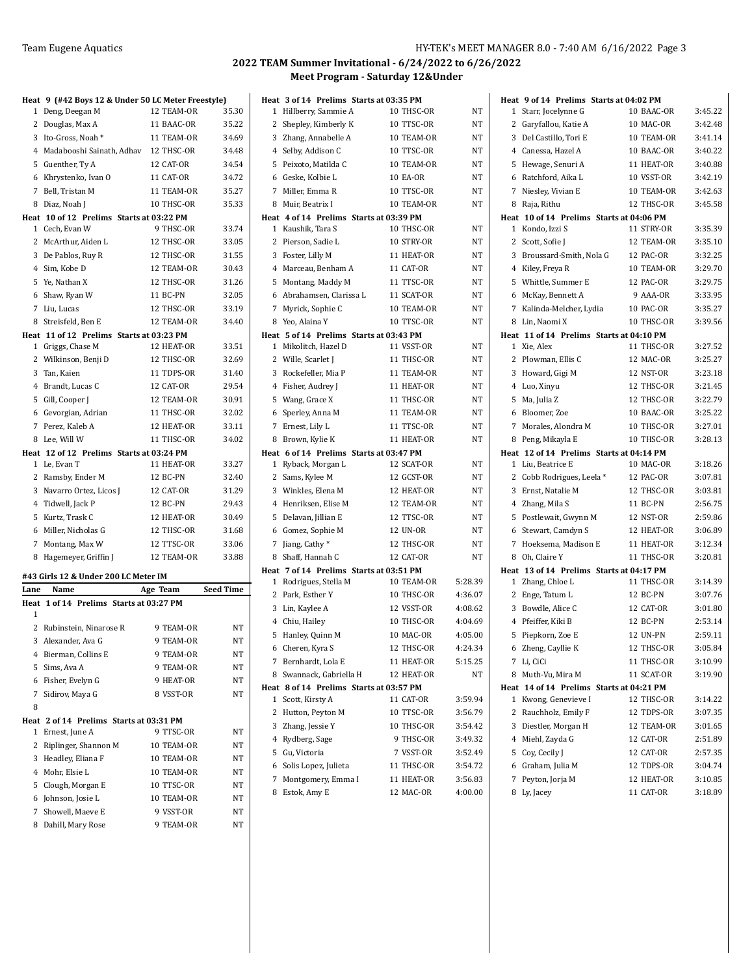|      | Heat 9 (#42 Boys 12 & Under 50 LC Meter Freestyle)            |            |           |
|------|---------------------------------------------------------------|------------|-----------|
|      | 1 Deng, Deegan M                                              | 12 TEAM-OR | 35.30     |
|      | 2 Douglas, Max A                                              | 11 BAAC-OR | 35.22     |
|      | 3 Ito-Gross, Noah*                                            | 11 TEAM-OR | 34.69     |
|      | 4 Madabooshi Sainath, Adhav 12 THSC-OR                        |            | 34.48     |
|      | 5 Guenther, Ty A                                              | 12 CAT-OR  | 34.54     |
|      | 6 Khrystenko, Ivan O                                          | 11 CAT-OR  | 34.72     |
|      | 7 Bell, Tristan M                                             | 11 TEAM-OR | 35.27     |
|      | 8 Diaz, Noah J                                                | 10 THSC-OR | 35.33     |
|      | Heat 10 of 12 Prelims Starts at 03:22 PM                      |            |           |
|      | 1 Cech, Evan W                                                | 9 THSC-OR  | 33.74     |
|      | 2 McArthur, Aiden L                                           | 12 THSC-OR | 33.05     |
|      | 3 De Pablos, Ruy R                                            | 12 THSC-OR | 31.55     |
|      | 4 Sim, Kobe D                                                 | 12 TEAM-OR | 30.43     |
|      | 5 Ye, Nathan X                                                | 12 THSC-OR | 31.26     |
|      | 6 Shaw, Ryan W                                                | 11 BC-PN   | 32.05     |
|      | 7 Liu, Lucas                                                  | 12 THSC-OR | 33.19     |
|      | 8 Streisfeld, Ben E                                           | 12 TEAM-OR | 34.40     |
|      | Heat 11 of 12 Prelims Starts at 03:23 PM<br>1 Griggs, Chase M | 12 HEAT-OR | 33.51     |
|      | 2 Wilkinson, Benji D                                          | 12 THSC-OR | 32.69     |
|      | 3 Tan, Kaien                                                  | 11 TDPS-OR | 31.40     |
|      | 4 Brandt, Lucas C                                             | 12 CAT-OR  | 29.54     |
|      | 5 Gill, Cooper J                                              | 12 TEAM-OR | 30.91     |
|      | 6 Gevorgian, Adrian                                           | 11 THSC-OR | 32.02     |
|      | 7 Perez, Kaleb A                                              | 12 HEAT-OR | 33.11     |
|      | 8 Lee, Will W                                                 | 11 THSC-OR | 34.02     |
|      | Heat 12 of 12 Prelims Starts at 03:24 PM                      |            |           |
|      | 1 Le, Evan T                                                  | 11 HEAT-OR | 33.27     |
|      | 2 Ramsby, Ender M                                             | 12 BC-PN   | 32.40     |
|      | 3 Navarro Ortez, Licos J                                      | 12 CAT-OR  | 31.29     |
|      | 4 Tidwell, Jack P                                             | 12 BC-PN   | 29.43     |
|      | 5 Kurtz, Trask C                                              | 12 HEAT-OR | 30.49     |
|      | 6 Miller, Nicholas G                                          | 12 THSC-OR | 31.68     |
|      | 7 Montang, Max W                                              | 12 TTSC-OR | 33.06     |
|      | 8 Hagemeyer, Griffin J                                        | 12 TEAM-OR | 33.88     |
|      |                                                               |            |           |
|      | #43 Girls 12 & Under 200 LC Meter IM                          | Age Team   |           |
| Lane | Name<br>Heat 1 of 14 Prelims Starts at 03:27 PM               |            | Seed Time |
| 1    |                                                               |            |           |
|      | 2 Rubinstein, Ninarose R                                      | 9 TEAM-OR  | NT        |
|      | 3 Alexander, Ava G                                            | 9 TEAM-OR  | NT        |
| 4    | Bierman, Collins E                                            | 9 TEAM-OR  | NT        |
|      | 5 Sims, Ava A                                                 | 9 TEAM-OR  | NT        |
|      | 6 Fisher, Evelyn G                                            | 9 HEAT-OR  | NT        |
| 7    | Sidirov, Maya G                                               | 8 VSST-OR  | NT        |
| 8    |                                                               |            |           |
|      | Heat 2 of 14 Prelims Starts at 03:31 PM                       |            |           |
| 1    | Ernest, June A                                                | 9 TTSC-OR  | NΤ        |
| 2    | Riplinger, Shannon M                                          | 10 TEAM-OR | NT        |
|      | 3 Headley, Eliana F                                           | 10 TEAM-OR | NT        |
|      | 4 Mohr, Elsie L                                               | 10 TEAM-OR | NT        |
|      | 5 Clough, Morgan E                                            | 10 TTSC-OR | NT        |
| 6    | Johnson, Josie L                                              | 10 TEAM-OR | NT        |
| 7    | Showell, Maeve E                                              | 9 VSST-OR  | NT        |
|      | 8 Dahill, Mary Rose                                           | 9 TEAM-OR  | NT        |
|      |                                                               |            |           |

|   | Heat 3 of 14 Prelims Starts at 03:35 PM |                 |           |
|---|-----------------------------------------|-----------------|-----------|
|   | 1 Hillberry, Sammie A                   | 10 THSC-OR      | NT        |
|   | 2 Shepley, Kimberly K                   | 10 TTSC-OR      | NT        |
|   | 3 Zhang, Annabelle A                    | 10 TEAM-OR      | NT        |
|   | 4 Selby, Addison C                      | 10 TTSC-OR      | NT        |
|   | 5 Peixoto, Matilda C                    | 10 TEAM-OR      | NT        |
|   | 6 Geske, Kolbie L                       | <b>10 EA-OR</b> | NT        |
|   | 7 Miller, Emma R                        | 10 TTSC-OR      | NT        |
| 8 | Muir, Beatrix I                         | 10 TEAM-OR      | NT        |
|   | Heat 4 of 14 Prelims Starts at 03:39 PM |                 |           |
|   | 1 Kaushik, Tara S                       | 10 THSC-OR      | NT        |
|   | 2 Pierson, Sadie L                      | 10 STRY-OR      | <b>NT</b> |
|   | 3 Foster, Lilly M                       | 11 HEAT-OR      | NT        |
|   | 4 Marceau, Benham A                     | 11 CAT-OR       | <b>NT</b> |
|   | 5 Montang, Maddy M                      | 11 TTSC-OR      | NT        |
|   | 6 Abrahamsen, Clarissa L                | 11 SCAT-OR      | NT        |
|   | 7 Myrick, Sophie C                      | 10 TEAM-OR      | NT        |
|   | 8 Yeo, Alaina Y                         | 10 TTSC-OR      | NT        |
|   | Heat 5 of 14 Prelims Starts at 03:43 PM |                 |           |
|   | 1 Mikolitch, Hazel D                    | 11 VSST-OR      | NT        |
|   | 2 Wille, Scarlet J                      | 11 THSC-OR      | NT        |
|   | 3 Rockefeller, Mia P                    | 11 TEAM-OR      | NT        |
|   | 4 Fisher, Audrey J                      | 11 HEAT-OR      | NT        |
|   | 5 Wang, Grace X                         | 11 THSC-OR      | NT        |
|   | 6 Sperley, Anna M                       | 11 TEAM-OR      | NT        |
|   | 7 Ernest, Lily L                        | 11 TTSC-OR      | NT        |
|   | 8 Brown, Kylie K                        | 11 HEAT-OR      | NT        |
|   | Heat 6 of 14 Prelims Starts at 03:47 PM |                 |           |
|   | 1 Ryback, Morgan L                      | 12 SCAT-OR      | <b>NT</b> |
|   | 2 Sams, Kylee M                         | 12 GCST-OR      | NT        |
|   | 3 Winkles, Elena M                      | 12 HEAT-OR      | NT        |
|   | 4 Henriksen, Elise M                    | 12 TEAM-OR      | NT        |
|   | 5 Delavan, Jillian E                    | 12 TTSC-OR      | NT        |
|   | 6 Gomez, Sophie M                       | 12 UN-OR        | NT        |
|   | 7 Jiang, Cathy*                         | 12 THSC-OR      | NT        |
|   | 8 Shaff, Hannah C                       | 12 CAT-OR       | NT        |
|   | Heat 7 of 14 Prelims Starts at 03:51 PM |                 |           |
|   | 1 Rodrigues, Stella M                   | 10 TEAM-OR      | 5:28.39   |
|   | 2 Park, Esther Y                        | 10 THSC-OR      | 4:36.07   |
|   | 3 Lin, Kaylee A                         | 12 VSST-OR      | 4:08.62   |
|   | 4 Chiu, Hailey                          | 10 THSC-OR      | 4:04.69   |
|   | 5 Hanley, Quinn M                       | 10 MAC-OR       | 4:05.00   |
|   | 6 Cheren, Kyra S                        | 12 THSC-OR      | 4:24.34   |
|   | 7 Bernhardt, Lola E                     | 11 HEAT-OR      | 5:15.25   |
| 8 | Swannack, Gabriella H                   | 12 HEAT-OR      | NT        |
|   | Heat 8 of 14 Prelims Starts at 03:57 PM |                 |           |
| 1 | Scott, Kirsty A                         | 11 CAT-OR       | 3:59.94   |
| 2 | Hutton, Peyton M                        | 10 TTSC-OR      | 3:56.79   |
|   | 3 Zhang, Jessie Y                       | 10 THSC-OR      | 3:54.42   |
|   | 4 Rydberg, Sage                         | 9 THSC-OR       | 3.49.32   |
|   | 5 Gu, Victoria                          | 7 VSST-OR       | 3:52.49   |
|   | 6 Solis Lopez, Julieta                  | 11 THSC-OR      | 3:54.72   |
| 7 | Montgomery, Emma I                      | 11 HEAT-OR      | 3:56.83   |
| 8 | Estok, Amy E                            | 12 MAC-OR       | 4:00.00   |

|                | Heat 9 of 14 Prelims Starts at 04:02 PM  |                         |                    |
|----------------|------------------------------------------|-------------------------|--------------------|
| 1              | Starr, Jocelynne G                       | 10 BAAC-OR              | 3:45.22            |
| $\overline{2}$ | Garyfallou, Katie A                      | 10 MAC-OR               | 3:42.48            |
| 3              | Del Castillo, Tori E                     | 10 TEAM-OR              | 3:41.14            |
|                | 4 Canessa, Hazel A                       | 10 BAAC-OR              | 3:40.22            |
| 5              | Hewage, Senuri A                         | 11 HEAT-OR              | 3:40.88            |
| 6              | Ratchford, Aika L                        | 10 VSST-OR              | 3:42.19            |
|                | 7 Niesley, Vivian E                      | 10 TEAM-OR              | 3:42.63            |
| 8              | Raja, Rithu                              | 12 THSC-OR              | 3:45.58            |
|                | Heat 10 of 14 Prelims Starts at 04:06 PM |                         |                    |
| $\mathbf{1}$   | Kondo, Izzi S                            | 11 STRY-OR              | 3:35.39            |
| 2              | Scott, Sofie J                           | 12 TEAM-OR              | 3:35.10            |
| 3              | Broussard-Smith, Nola G                  | 12 PAC-OR               | 3:32.25            |
|                | 4 Kiley, Freya R                         | 10 TEAM-OR              | 3:29.70            |
|                | 5 Whittle, Summer E                      | 12 PAC-OR               | 3:29.75            |
| 6              | McKay, Bennett A                         | 9 AAA-OR                | 3:33.95            |
|                | 7 Kalinda-Melcher, Lydia                 | 10 PAC-OR               | 3:35.27            |
| 8              | Lin, Naomi X                             | 10 THSC-OR              | 3:39.56            |
|                | Heat 11 of 14 Prelims Starts at 04:10 PM |                         |                    |
|                | 1 Xie, Alex                              | 11 THSC-OR              | 3:27.52            |
| 2              | Plowman, Ellis C                         | 12 MAC-OR               | 3:25.27            |
| 3              | Howard, Gigi M                           | 12 NST-OR               | 3:23.18            |
| 4              | Luo, Xinyu                               | 12 THSC-OR              | 3:21.45            |
| 5              | Ma, Julia Z                              | 12 THSC-OR              | 3:22.79            |
|                | 6 Bloomer, Zoe                           | 10 BAAC-OR              | 3:25.22            |
| 7              | Morales, Alondra M                       | 10 THSC-OR              | 3:27.01            |
| 8              | Peng, Mikayla E                          | 10 THSC-OR              | 3:28.13            |
|                |                                          |                         |                    |
|                | Heat 12 of 14 Prelims Starts at 04:14 PM |                         |                    |
|                | 1 Liu, Beatrice E                        | 10 MAC-OR               | 3:18.26            |
| $\overline{2}$ | Cobb Rodrigues, Leela *                  | 12 PAC-OR               | 3:07.81            |
| 3              | Ernst, Natalie M                         | 12 THSC-OR              | 3:03.81            |
|                | 4 Zhang, Mila S                          | 11 BC-PN                | 2:56.75            |
| 5              | Postlewait, Gwynn M                      | 12 NST-OR               | 2:59.86            |
| 6              | Stewart, Camdyn S                        | 12 HEAT-OR              | 3:06.89            |
| 7              | Hoeksema, Madison E                      | 11 HEAT-OR              | 3:12.34            |
| 8              | Oh, Claire Y                             | 11 THSC-OR              | 3:20.81            |
|                | Heat 13 of 14 Prelims Starts at 04:17 PM |                         |                    |
| 1              | Zhang, Chloe L                           | 11 THSC-OR              | 3:14.39            |
| 2              | Enge, Tatum L                            | 12 BC-PN                | 3:07.76            |
| 3              | Bowdle, Alice C                          | 12 CAT-OR               | 3:01.80            |
|                | 4 Pfeiffer, Kiki B                       | 12 BC-PN                | 2:53.14            |
| 5              | Piepkorn, Zoe E                          | 12 UN-PN                | 2:59.11            |
|                | 6 Zheng, Cayllie K                       | 12 THSC-OR              | 3:05.84            |
|                | 7 Li, CiCi                               | 11 THSC-OR              | 3:10.99            |
| 8              | Muth-Vu, Mira M                          | 11 SCAT-OR              | 3:19.90            |
|                | Heat 14 of 14 Prelims Starts at 04:21 PM |                         |                    |
|                | 1 Kwong, Genevieve I                     | 12 THSC-OR              | 3:14.22            |
| 2              | Rauchholz, Emily F                       | 12 TDPS-OR              | 3:07.35            |
|                | 3 Diestler, Morgan H                     | 12 TEAM-OR              | 3:01.65            |
|                | 4 Miehl, Zayda G                         | 12 CAT-OR               | 2:51.89            |
|                | 5 Coy, Cecily J                          | 12 CAT-OR               | 2:57.35            |
|                | 6 Graham, Julia M                        | 12 TDPS-OR              | 3:04.74            |
| 7              | Peyton, Jorja M<br>8 Ly, Jacey           | 12 HEAT-OR<br>11 CAT-OR | 3:10.85<br>3:18.89 |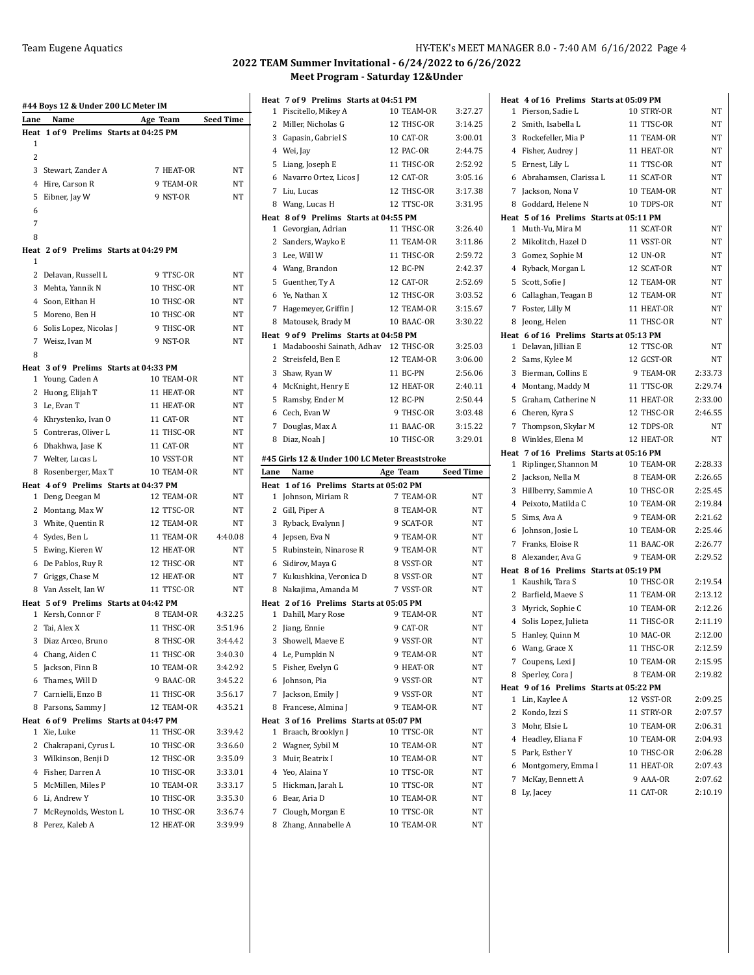|           | #44 Boys 12 & Under 200 LC Meter IM |                                        |                    |
|-----------|-------------------------------------|----------------------------------------|--------------------|
| Lane      | Name                                | Age Team                               | <b>Seed Time</b>   |
| Heat<br>1 |                                     | 1 of 9 Prelims Starts at 04:25 PM      |                    |
| 2         |                                     |                                        |                    |
| 3         |                                     | 7 HEAT-OR                              | NT                 |
| 4         | Stewart, Zander A<br>Hire, Carson R | 9 TEAM-OR                              | NT                 |
| 5         |                                     | 9 NST-OR                               | NT                 |
| 6         | Eibner, Jay W                       |                                        |                    |
| 7         |                                     |                                        |                    |
| 8         |                                     |                                        |                    |
|           |                                     | Heat 2 of 9 Prelims Starts at 04:29 PM |                    |
| 1         |                                     |                                        |                    |
| 2         | Delavan, Russell L                  | 9 TTSC-OR                              | NT                 |
|           | 3 Mehta, Yannik N                   | 10 THSC-OR                             | NΤ                 |
|           | 4 Soon, Eithan H                    | 10 THSC-OR                             | NT                 |
| 5         | Moreno, Ben H                       | 10 THSC-OR                             | NΤ                 |
|           | 6 Solis Lopez, Nicolas J            | 9 THSC-OR                              | NT                 |
| 7         | Weisz, Ivan M                       | 9 NST-OR                               | NT                 |
| 8         |                                     |                                        |                    |
|           |                                     | Heat 3 of 9 Prelims Starts at 04:33 PM |                    |
| 1         | Young, Caden A                      | 10 TEAM-OR                             | NT                 |
| 2         | Huong, Elijah T                     | 11 HEAT-OR                             | NΤ                 |
|           | 3 Le, Evan T                        | 11 HEAT-OR                             | NΤ                 |
|           | 4 Khrystenko, Ivan O                | 11 CAT-OR                              | NT                 |
| 5         | Contreras, Oliver L                 | 11 THSC-OR                             | NT                 |
|           | 6 Dhakhwa, Jase K                   | 11 CAT-OR                              | NT                 |
|           | 7 Welter, Lucas L                   | 10 VSST-OR                             | NΤ                 |
| 8         | Rosenberger, Max T                  | 10 TEAM-OR                             | NΤ                 |
|           |                                     | Heat 4 of 9 Prelims Starts at 04:37 PM |                    |
|           | 1 Deng, Deegan M                    | 12 TEAM-OR                             | NT                 |
| 2         | Montang, Max W                      | 12 TTSC-OR                             | NΤ                 |
|           | 3 White, Quentin R                  | 12 TEAM-OR                             | NΤ                 |
|           | 4 Sydes, Ben L                      | 11 TEAM-OR                             | 4:40.08            |
| 5         | Ewing, Kieren W                     | 12 HEAT-OR                             | NT                 |
|           | 6 De Pablos, Ruy R                  | 12 THSC-OR                             | NT                 |
| 7         | Griggs, Chase M                     | 12 HEAT-OR                             | NΤ                 |
|           | 8 Van Asselt, Ian W                 | 11 TTSC-OR                             | NT                 |
|           |                                     | Heat 5 of 9 Prelims Starts at 04:42 PM |                    |
|           | 1 Kersh, Connor F                   | 8 TEAM-OR                              | 4:32.25            |
|           | 2 Tai, Alex X                       | 11 THSC-OR                             | 3:51.96            |
| 3         | Diaz Arceo, Bruno                   | 8 THSC-OR                              | 3:44.42            |
| 4         | Chang, Aiden C                      | 11 THSC-OR                             | 3:40.30            |
| 5         | Jackson, Finn B                     | 10 TEAM-OR                             | 3:42.92            |
|           | 6 Thames, Will D                    | 9 BAAC-OR                              | 3:45.22            |
|           | 7 Carnielli, Enzo B                 | 11 THSC-OR                             | 3:56.17            |
|           | 8 Parsons, Sammy J                  | 12 TEAM-OR                             | 4:35.21            |
|           |                                     | Heat 6 of 9 Prelims Starts at 04:47 PM |                    |
| 1         | Xie, Luke                           | 11 THSC-OR                             | 3:39.42            |
| 2         | Chakrapani, Cyrus L                 | 10 THSC-OR                             | 3:36.60            |
|           | 3 Wilkinson, Benji D                | 12 THSC-OR<br>10 THSC-OR               | 3:35.09            |
|           | 4 Fisher, Darren A                  |                                        | 3:33.01            |
| 5<br>6    | McMillen, Miles P<br>Li, Andrew Y   | 10 TEAM-OR<br>10 THSC-OR               | 3:33.17<br>3:35.30 |
| 7         | McReynolds, Weston L                | 10 THSC-OR                             | 3:36.74            |
| 8         | Perez, Kaleb A                      | 12 HEAT-OR                             | 3:39.99            |
|           |                                     |                                        |                    |

|                     | Heat 7 of 9 Prelims Starts at 04:51 PM                        |                          |           |
|---------------------|---------------------------------------------------------------|--------------------------|-----------|
| 1                   | Piscitello, Mikey A                                           | 10 TEAM-OR               | 3:27.27   |
| 2                   | Miller, Nicholas G                                            | 12 THSC-OR               | 3:14.25   |
|                     | 3 Gapasin, Gabriel S                                          | 10 CAT-OR                | 3:00.01   |
|                     | 4 Wei, Jay                                                    | 12 PAC-OR                | 2:44.75   |
| 5                   | Liang, Joseph E                                               | 11 THSC-OR               | 2:52.92   |
| 6                   | Navarro Ortez, Licos J                                        | 12 CAT-OR                | 3:05.16   |
| 7                   | Liu, Lucas                                                    | 12 THSC-OR               | 3:17.38   |
| 8                   | Wang, Lucas H                                                 | 12 TTSC-OR               | 3:31.95   |
|                     | Heat 8 of 9 Prelims Starts at 04:55 PM                        |                          |           |
| 1                   | Gevorgian, Adrian                                             | 11 THSC-OR               | 3:26.40   |
| 2                   | Sanders, Wayko E                                              | 11 TEAM-OR               | 3:11.86   |
| 3                   | Lee, Will W                                                   | 11 THSC-OR               | 2:59.72   |
|                     | 4 Wang, Brandon                                               | 12 BC-PN                 | 2:42.37   |
|                     | 5 Guenther, Ty A                                              | 12 CAT-OR                | 2:52.69   |
| 6                   | Ye, Nathan X                                                  | 12 THSC-OR               | 3:03.52   |
| 7                   | Hagemeyer, Griffin J                                          | 12 TEAM-OR               | 3:15.67   |
| 8                   | Matousek, Brady M                                             | 10 BAAC-OR               | 3:30.22   |
|                     | Heat 9 of 9 Prelims Starts at 04:58 PM                        |                          |           |
| 1                   | Madabooshi Sainath, Adhav                                     | 12 THSC-OR               | 3:25.03   |
| 2                   | Streisfeld, Ben E                                             | 12 TEAM-OR               | 3:06.00   |
|                     | 3 Shaw, Ryan W                                                | 11 BC-PN                 | 2:56.06   |
|                     | 4 McKnight, Henry E                                           | 12 HEAT-OR               | 2:40.11   |
| 5                   | Ramsby, Ender M                                               | 12 BC-PN                 | 2:50.44   |
|                     | 6 Cech, Evan W                                                | 9 THSC-OR                | 3:03.48   |
| 7                   | Douglas, Max A                                                | 11 BAAC-OR               | 3:15.22   |
| 8                   | Diaz, Noah J                                                  | 10 THSC-OR               | 3:29.01   |
|                     |                                                               |                          |           |
|                     | #45 Girls 12 & Under 100 LC Meter Breaststroke                |                          |           |
| Lane                | Name                                                          | Age Team                 | Seed Time |
| Heat                | 1 of 16 Prelims Starts at 05:02 PM                            |                          |           |
| 1                   | Johnson, Miriam R                                             | 7 TEAM-OR                | NΤ        |
|                     | 2 Gill, Piper A                                               | 8 TEAM-OR                | NT        |
| 3                   | Ryback, Evalynn J                                             | 9 SCAT-OR                | NT        |
| 4                   | Jepsen, Eva N                                                 | 9 TEAM-OR                | NT        |
| 5                   | Rubinstein, Ninarose R                                        | 9 TEAM-OR                | NT        |
|                     | 6 Sidirov, Maya G                                             | 8 VSST-OR                | NT        |
| 7                   | Kukushkina, Veronica D                                        | 8 VSST-OR                | NT        |
| 8                   | Nakajima, Amanda M<br>Heat 2 of 16 Prelims Starts at 05:05 PM | 7 VSST-OR                | NΤ        |
| 1                   | Dahill, Mary Rose                                             | 9 TEAM-OR                | NT        |
| 2                   | Jiang, Ennie                                                  | 9 CAT-OR                 | NΤ        |
|                     | 3 Showell, Maeve E                                            | 9 VSST-OR                | NT        |
|                     | 4 Le, Pumpkin N                                               | 9 TEAM-OR                | NΤ        |
| 5                   | Fisher, Evelyn G                                              | 9 HEAT-OR                | NT        |
|                     | 6 Johnson, Pia                                                | 9 VSST-OR                | NΤ        |
| 7                   | Jackson, Emily J                                              | 9 VSST-OR                | NΤ        |
| 8                   | Francese, Almina J                                            | 9 TEAM-OR                | NΤ        |
|                     | Heat 3 of 16 Prelims Starts at 05:07 PM                       |                          |           |
| 1                   | Braach, Brooklyn J                                            | 10 TTSC-OR               | NT        |
|                     | 2 Wagner, Sybil M                                             | 10 TEAM-OR               | NT        |
| 3                   | Muir, Beatrix I                                               | 10 TEAM-OR               | NΤ        |
| 4                   | Yeo, Alaina Y                                                 | 10 TTSC-OR               | NΤ        |
| 5                   | Hickman, Jarah L                                              | 10 TTSC-OR               | NΤ        |
| 6                   | Bear, Aria D                                                  | 10 TEAM-OR               | NT        |
| $\overline{7}$<br>8 | Clough, Morgan E<br>Zhang, Annabelle A                        | 10 TTSC-OR<br>10 TEAM-OR | NT<br>NΤ  |

|        |                                                              | Heat 4 of 16 Prelims Starts at 05:09 PM |                    |
|--------|--------------------------------------------------------------|-----------------------------------------|--------------------|
|        | 1 Pierson, Sadie L                                           | 10 STRY-OR                              | NΤ                 |
|        | 2 Smith, Isabella L                                          | 11 TTSC-OR                              | NT                 |
| 3      | Rockefeller, Mia P                                           | 11 TEAM-OR                              | NT                 |
|        | 4 Fisher, Audrey J                                           | 11 HEAT-OR                              | NT                 |
| 5      | Ernest, Lily L                                               | 11 TTSC-OR                              | NT                 |
|        | 6 Abrahamsen, Clarissa L                                     | 11 SCAT-OR                              | NΤ                 |
|        | 7 Jackson, Nona V                                            | 10 TEAM-OR                              | NT                 |
| 8      | Goddard, Helene N                                            | 10 TDPS-OR                              | NT                 |
|        | Heat 5 of 16 Prelims Starts at 05:11 PM                      |                                         |                    |
|        | 1 Muth-Vu, Mira M                                            | 11 SCAT-OR                              | NΤ                 |
|        | 2 Mikolitch, Hazel D                                         | 11 VSST-OR                              | NT                 |
|        | 3 Gomez, Sophie M                                            | 12 UN-OR                                | NΤ                 |
|        | 4 Ryback, Morgan L                                           | 12 SCAT-OR                              | NΤ                 |
|        | 5 Scott, Sofie J                                             | 12 TEAM-OR                              | NT                 |
|        | 6 Callaghan, Teagan B                                        | 12 TEAM-OR                              | NΤ                 |
| 7      | Foster, Lilly M                                              | 11 HEAT-OR                              | NT                 |
| 8      | Jeong, Helen                                                 | 11 THSC-OR                              | NΤ                 |
|        | Heat 6 of 16 Prelims Starts at 05:13 PM                      |                                         |                    |
| 1      | Delavan, Jillian E                                           | 12 TTSC-OR                              | NΤ                 |
| 2      | Sams, Kylee M                                                | 12 GCST-OR                              | <b>NT</b>          |
| 3      | Bierman, Collins E                                           | 9 TEAM-OR                               | 2:33.73            |
|        | 4 Montang, Maddy M                                           | 11 TTSC-OR                              | 2:29.74            |
|        | 5 Graham, Catherine N                                        | 11 HEAT-OR                              | 2:33.00            |
|        | 6 Cheren, Kyra S                                             | 12 THSC-OR                              | 2:46.55            |
|        | 7 Thompson, Skylar M                                         | 12 TDPS-OR                              | <b>NT</b>          |
|        | 8 Winkles, Elena M                                           | 12 HEAT-OR                              | NΤ                 |
|        | Heat 7 of 16 Prelims Starts at 05:16 PM                      |                                         |                    |
|        | 1 Riplinger, Shannon M                                       | 10 TEAM-OR                              | 2:28.33            |
| 2      | Jackson, Nella M                                             | 8 TEAM-OR                               | 2:26.65            |
| 3      | Hillberry, Sammie A                                          | 10 THSC-OR                              | 2:25.45            |
|        | 4 Peixoto, Matilda C                                         | 10 TEAM-OR                              |                    |
|        |                                                              |                                         | 2:19.84            |
| 5      |                                                              | 9 TEAM-OR                               | 2:21.62            |
| 6      | Sims, Ava A                                                  | 10 TEAM-OR                              | 2:25.46            |
| 7      | Johnson, Josie L                                             | 11 BAAC-OR                              | 2:26.77            |
|        | Franks, Eloise R                                             |                                         |                    |
|        | 8 Alexander, Ava G                                           | 9 TEAM-OR                               | 2:29.52            |
|        | Heat 8 of 16 Prelims Starts at 05:19 PM<br>1 Kaushik, Tara S | 10 THSC-OR                              | 2:19.54            |
| 2      | Barfield, Maeve S                                            | 11 TEAM-OR                              | 2:13.12            |
| 3      |                                                              | 10 TEAM-OR                              | 2:12.26            |
| 4      | Myrick, Sophie C                                             | 11 THSC-OR                              |                    |
| 5      | Solis Lopez, Julieta                                         | 10 MAC-OR                               | 2:11.19<br>2:12.00 |
|        | Hanley, Quinn M                                              |                                         |                    |
|        | 6 Wang, Grace X                                              | 11 THSC-OR                              | 2:12.59            |
|        | 7 Coupens, Lexi J                                            | 10 TEAM-OR                              | 2:15.95            |
|        | 8 Sperley, Cora J                                            | 8 TEAM-OR                               | 2:19.82            |
|        | Heat 9 of 16 Prelims Starts at 05:22 PM                      | 12 VSST-OR                              |                    |
| 2      | 1 Lin, Kaylee A                                              | 11 STRY-OR                              | 2:09.25<br>2:07.57 |
|        | Kondo, Izzi S                                                |                                         |                    |
|        | 3 Mohr, Elsie L                                              | 10 TEAM-OR                              | 2:06.31            |
| 4      | Headley, Eliana F                                            | 10 TEAM-OR                              | 2:04.93            |
| 5      | Park, Esther Y                                               | 10 THSC-OR                              | 2:06.28            |
| 6      | Montgomery, Emma I                                           | 11 HEAT-OR                              | 2:07.43            |
| 7<br>8 | McKay, Bennett A<br>Ly, Jacey                                | 9 AAA-OR<br>11 CAT-OR                   | 2:07.62<br>2:10.19 |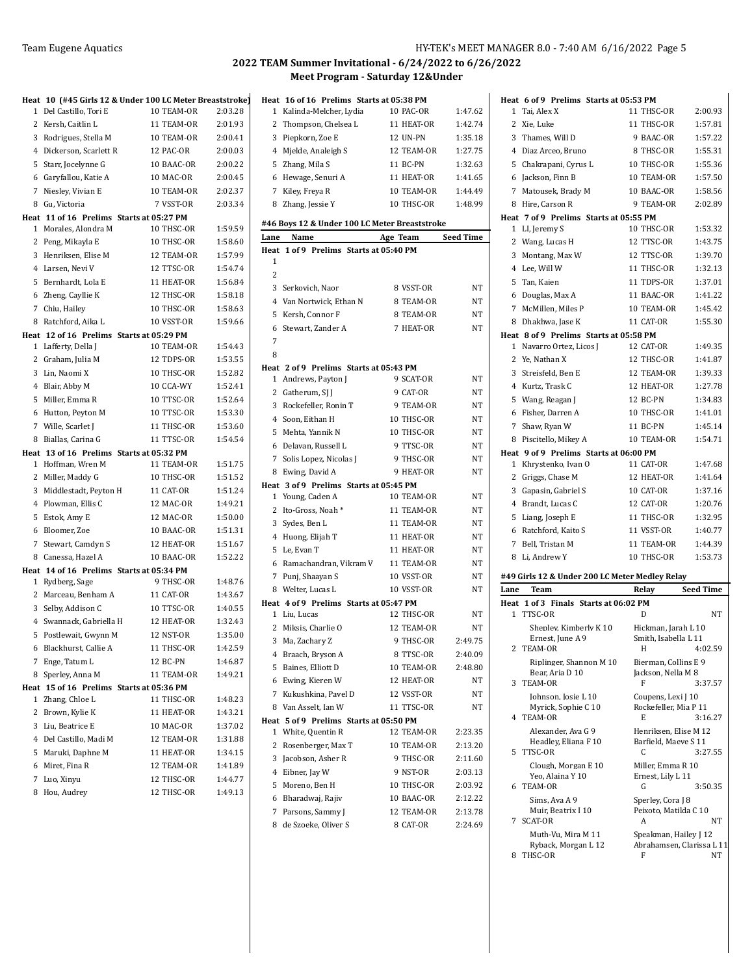|   | Heat 10 (#45 Girls 12 & Under 100 LC Meter Breaststroke)   |            |         |
|---|------------------------------------------------------------|------------|---------|
| 1 | Del Castillo, Tori E                                       | 10 TEAM-OR | 2:03.28 |
| 2 | Kersh, Caitlin L                                           | 11 TEAM-OR | 2:01.93 |
| 3 | Rodrigues, Stella M                                        | 10 TEAM-OR | 2:00.41 |
|   | 4 Dickerson, Scarlett R                                    | 12 PAC-OR  | 2:00.03 |
| 5 | Starr, Jocelynne G                                         | 10 BAAC-OR | 2:00.22 |
|   | 6 Garyfallou, Katie A                                      | 10 MAC-OR  | 2:00.45 |
| 7 | Niesley, Vivian E                                          | 10 TEAM-OR | 2:02.37 |
| 8 | Gu, Victoria                                               | 7 VSST-OR  | 2:03.34 |
|   | Heat 11 of 16 Prelims Starts at 05:27 PM                   |            |         |
|   | 1 Morales, Alondra M                                       | 10 THSC-OR | 1:59.59 |
|   | 2 Peng, Mikayla E                                          | 10 THSC-OR | 1:58.60 |
| 3 | Henriksen, Elise M                                         | 12 TEAM-OR | 1:57.99 |
|   | 4 Larsen, Nevi V                                           | 12 TTSC-OR | 1:54.74 |
| 5 | Bernhardt, Lola E                                          | 11 HEAT-OR | 1:56.84 |
| 6 | Zheng, Cayllie K                                           | 12 THSC-OR | 1:58.18 |
|   | 7 Chiu, Hailey                                             | 10 THSC-OR | 1:58.63 |
| 8 | Ratchford, Aika L                                          | 10 VSST-OR | 1:59.66 |
|   | Heat 12 of 16 Prelims Starts at 05:29 PM                   | 10 TEAM-OR | 1:54.43 |
|   | 1 Lafferty, Della J<br>2 Graham, Julia M                   | 12 TDPS-OR | 1:53.55 |
|   | 3 Lin, Naomi X                                             | 10 THSC-OR | 1:52.82 |
|   | 4 Blair, Abby M                                            | 10 CCA-WY  | 1:52.41 |
| 5 | Miller, Emma R                                             | 10 TTSC-OR | 1:52.64 |
| 6 | Hutton, Peyton M                                           | 10 TTSC-OR | 1:53.30 |
|   | 7 Wille, Scarlet J                                         | 11 THSC-OR | 1:53.60 |
| 8 | Biallas, Carina G                                          | 11 TTSC-OR | 1:54.54 |
|   | Heat 13 of 16 Prelims Starts at 05:32 PM                   |            |         |
| 1 | Hoffman, Wren M                                            | 11 TEAM-OR | 1:51.75 |
|   | 2 Miller, Maddy G                                          | 10 THSC-OR | 1:51.52 |
| 3 | Middlestadt, Peyton H                                      | 11 CAT-OR  | 1:51.24 |
|   | 4 Plowman, Ellis C                                         | 12 MAC-OR  | 1:49.21 |
| 5 | Estok, Amy E                                               | 12 MAC-OR  | 1:50.00 |
| 6 | Bloomer, Zoe                                               | 10 BAAC-OR | 1:51.31 |
| 7 | Stewart, Camdyn S                                          | 12 HEAT-OR | 1:51.67 |
| 8 | Canessa, Hazel A                                           | 10 BAAC-OR | 1:52.22 |
|   | Heat 14 of 16 Prelims Starts at 05:34 PM                   |            |         |
|   | 1 Rydberg, Sage                                            | 9 THSC-OR  | 1:48.76 |
|   | 2 Marceau, Benham A                                        | 11 CAT-OR  | 1:43.67 |
| 3 | Selby, Addison C                                           | 10 TTSC-OR | 1:40.55 |
|   | 4 Swannack, Gabriella H                                    | 12 HEAT-OR | 1:32.43 |
| 5 | Postlewait, Gwynn M                                        | 12 NST-OR  | 1:35.00 |
|   | 6 Blackhurst, Callie A                                     | 11 THSC-OR | 1:42.59 |
| 7 | Enge, Tatum L                                              | 12 BC-PN   | 1:46.87 |
| 8 | Sperley, Anna M                                            | 11 TEAM-OR | 1:49.21 |
| 1 | Heat 15 of 16 Prelims Starts at 05:36 PM<br>Zhang, Chloe L | 11 THSC-OR | 1:48.23 |
| 2 | Brown, Kylie K                                             | 11 HEAT-OR | 1:43.21 |
| 3 | Liu, Beatrice E                                            | 10 MAC-OR  | 1:37.02 |
|   | 4 Del Castillo, Madi M                                     | 12 TEAM-OR | 1:31.88 |
|   | 5 Maruki, Daphne M                                         | 11 HEAT-OR | 1:34.15 |
|   | 6 Miret, Fina R                                            | 12 TEAM-OR | 1:41.89 |
| 7 | Luo, Xinyu                                                 | 12 THSC-OR | 1:44.77 |
|   |                                                            |            |         |

|           | Heat 16 of 16 Prelims Starts at 05:38 PM      |            |                  |
|-----------|-----------------------------------------------|------------|------------------|
|           | 1 Kalinda-Melcher, Lydia                      | 10 PAC-OR  | 1:47.62          |
|           | 2 Thompson, Chelsea L                         | 11 HEAT-OR | 1:42.74          |
|           | 3 Piepkorn, Zoe E                             | 12 UN-PN   | 1:35.18          |
|           | 4 Mjelde, Analeigh S                          | 12 TEAM-OR | 1:27.75          |
|           | 5 Zhang, Mila S                               | 11 BC-PN   | 1:32.63          |
|           | 6 Hewage, Senuri A                            | 11 HEAT-OR | 1:41.65          |
|           | 7 Kiley, Freya R                              | 10 TEAM-OR | 1:44.49          |
|           | 8 Zhang, Jessie Y                             | 10 THSC-OR | 1:48.99          |
|           |                                               |            |                  |
|           | #46 Boys 12 & Under 100 LC Meter Breaststroke |            |                  |
| Lane      | Name                                          | Age Team   | <b>Seed Time</b> |
| Heat<br>1 | 1 of 9 Prelims Starts at 05:40 PM             |            |                  |
| 2         |                                               |            |                  |
|           |                                               | 8 VSST-OR  | NT               |
|           | 3 Serkovich, Naor                             |            |                  |
|           | 4 Van Nortwick, Ethan N                       | 8 TEAM-OR  | NΤ               |
|           | 5 Kersh, Connor F                             | 8 TEAM-OR  | NT               |
|           | 6 Stewart, Zander A                           | 7 HEAT-OR  | NT               |
| 7         |                                               |            |                  |
| 8         |                                               |            |                  |
|           | Heat 2 of 9 Prelims Starts at 05:43 PM        | 9 SCAT-OR  | NT               |
|           | 1 Andrews, Payton J<br>2 Gatherum, SJ J       | 9 CAT-OR   |                  |
|           |                                               |            | ΝT<br><b>NT</b>  |
|           | 3 Rockefeller, Ronin T                        | 9 TEAM-OR  |                  |
|           | 4 Soon, Eithan H                              | 10 THSC-OR | NΤ               |
|           | 5 Mehta, Yannik N                             | 10 THSC-OR | NT               |
|           | 6 Delavan, Russell L                          | 9 TTSC-OR  | NT               |
|           | 7 Solis Lopez, Nicolas J                      | 9 THSC-OR  | NT               |
|           | 8 Ewing, David A                              | 9 HEAT-OR  | NT               |
|           | Heat 3 of 9 Prelims Starts at 05:45 PM        |            |                  |
|           | 1 Young, Caden A                              | 10 TEAM-OR | NT               |
|           | 2 Ito-Gross, Noah*                            | 11 TEAM-OR | NT               |
|           | 3 Sydes, Ben L                                | 11 TEAM-OR | NT               |
|           | 4 Huong, Elijah T                             | 11 HEAT-OR | NT               |
|           | 5 Le, Evan T                                  | 11 HEAT-OR | NT               |
|           | 6 Ramachandran, Vikram V                      | 11 TEAM-OR | NΤ               |
|           | 7 Punj, Shaayan S                             | 10 VSST-OR | NT               |
|           | 8 Welter, Lucas L                             | 10 VSST-OR | NT               |
|           | Heat 4 of 9 Prelims Starts at 05:47 PM        | 12 THSC-OR | NT               |
|           | 1 Liu, Lucas<br>2 Miksis, Charlie O           | 12 TEAM-OR | NT               |
| 3         |                                               | 9 THSC-OR  |                  |
|           | Ma, Zachary Z                                 |            | 2:49.75          |
| 4         | Braach, Bryson A                              | 8 TTSC-OR  | 2:40.09          |
| 5         | Baines, Elliott D                             | 10 TEAM-OR | 2:48.80          |
| 6         | Ewing, Kieren W                               | 12 HEAT-OR | NΤ               |
| 7         | Kukushkina, Pavel D                           | 12 VSST-OR | NΤ               |
| 8         | Van Asselt, Ian W                             | 11 TTSC-OR | NΤ               |
| Heat<br>1 | 5 of 9 Prelims Starts at 05:50 PM             | 12 TEAM-OR |                  |
|           | White, Quentin R                              |            | 2:23.35          |
| 2         | Rosenberger, Max T                            | 10 TEAM-OR | 2:13.20          |
| 3         | Jacobson, Asher R                             | 9 THSC-OR  | 2:11.60          |
| 4         | Eibner, Jay W                                 | 9 NST-OR   | 2:03.13          |
| 5         | Moreno, Ben H                                 | 10 THSC-OR | 2:03.92          |
| 6         | Bharadwaj, Rajiv                              | 10 BAAC-OR | 2:12.22          |
| 7         | Parsons, Sammy J                              | 12 TEAM-OR | 2:13.78          |
|           | 8 de Szoeke, Oliver S                         | 8 CAT-OR   | 2:24.69          |
|           |                                               |            |                  |

|      | Heat 6 of 9 Prelims Starts at 05:53 PM         |                                |                  |
|------|------------------------------------------------|--------------------------------|------------------|
| 1    | Tai, Alex X                                    | 11 THSC-OR                     | 2:00.93          |
| 2    | Xie, Luke                                      | 11 THSC-OR                     | 1:57.81          |
|      | 3 Thames, Will D                               | 9 BAAC-OR                      | 1:57.22          |
|      | 4 Diaz Arceo, Bruno                            | 8 THSC-OR                      | 1:55.31          |
|      | 5 Chakrapani, Cyrus L                          | 10 THSC-OR                     | 1:55.36          |
|      | 6 Jackson, Finn B                              | 10 TEAM-OR                     | 1:57.50          |
| 7    | Matousek, Brady M                              | 10 BAAC-OR                     | 1:58.56          |
| 8    | Hire, Carson R                                 | 9 TEAM-OR                      | 2:02.89          |
|      | Heat 7 of 9 Prelims Starts at 05:55 PM         |                                |                  |
| 1    | LI, Jeremy S                                   | 10 THSC-OR                     | 1:53.32          |
| 2    | Wang, Lucas H                                  | 12 TTSC-OR                     | 1:43.75          |
|      | 3 Montang, Max W                               | 12 TTSC-OR                     | 1:39.70          |
|      | 4 Lee, Will W                                  | 11 THSC-OR                     | 1:32.13          |
| 5    | Tan, Kaien                                     | 11 TDPS-OR                     | 1:37.01          |
|      | 6 Douglas, Max A                               | 11 BAAC-OR                     | 1:41.22          |
|      | 7 McMillen, Miles P                            | 10 TEAM-OR                     | 1:45.42          |
|      | 8 Dhakhwa, Jase K                              | 11 CAT-OR                      | 1:55.30          |
|      | Heat 8 of 9 Prelims Starts at 05:58 PM         |                                |                  |
| 1    | Navarro Ortez, Licos J                         | 12 CAT-OR                      | 1:49.35          |
|      | 2 Ye, Nathan X                                 | 12 THSC-OR                     | 1:41.87          |
|      | 3 Streisfeld, Ben E                            | 12 TEAM-OR                     | 1:39.33          |
|      | 4 Kurtz, Trask C                               | 12 HEAT-OR                     | 1:27.78          |
|      | 5 Wang, Reagan J                               | 12 BC-PN                       | 1:34.83          |
|      | 6 Fisher, Darren A                             | 10 THSC-OR                     | 1:41.01          |
| 7    | Shaw, Ryan W                                   | 11 BC-PN                       | 1:45.14          |
|      | 8 Piscitello, Mikey A                          | 10 TEAM-OR                     | 1:54.71          |
|      | Heat 9 of 9 Prelims Starts at 06:00 PM         |                                |                  |
| 1    | Khrystenko, Ivan O                             | 11 CAT-OR                      | 1:47.68          |
| 2    | Griggs, Chase M                                | 12 HEAT-OR                     | 1:41.64          |
| 3    | Gapasin, Gabriel S                             | 10 CAT-OR                      | 1:37.16          |
|      | 4 Brandt, Lucas C                              | 12 CAT-OR                      | 1:20.76          |
| 5    | Liang, Joseph E                                | 11 THSC-OR                     | 1:32.95          |
|      | 6 Ratchford, Kaito S                           | 11 VSST-OR                     | 1:40.77          |
| 7    | Bell, Tristan M                                | 11 TEAM-OR                     | 1:44.39          |
| 8    | Li, Andrew Y                                   | 10 THSC-OR                     | 1:53.73          |
|      | #49 Girls 12 & Under 200 LC Meter Medley Relay |                                |                  |
| Lane | Team                                           | Relay                          | <b>Seed Time</b> |
|      | Heat 1 of 3 Finals Starts at 06:02 PM          |                                |                  |
| 1    | TTSC-OR                                        | D                              | <b>NT</b>        |
|      | Shepley, Kimberly K 10                         | Hickman, Jarah L 10            |                  |
|      | Ernest, June A 9                               | Smith, Isabella L 11           |                  |
|      | 2 TEAM-OR                                      | Н                              | 4:02.59          |
|      | Riplinger, Shannon M 10                        | Bierman, Collins E 9           |                  |
| 3    | Bear, Aria D 10<br>TEAM-OR                     | Jackson, Nella M 8<br>F        | 3:37.57          |
|      | Johnson, Josie L 10                            | Coupens, Lexi J 10             |                  |
|      | Myrick, Sophie C 10                            | Rockefeller, Mia P 11          |                  |
|      | 4 TEAM-OR                                      | E                              | 3:16.27          |
|      | Alexander, Ava G 9                             | Henriksen, Elise M 12          |                  |
|      | Headley, Eliana F 10                           | Barfield, Maeve S 11           |                  |
| 5    | TTSC-OR                                        | C                              | 3:27.55          |
|      | Clough, Morgan E 10<br>Yeo, Alaina Y 10        | Miller, Emma R 10              |                  |
| 6    | TEAM-OR                                        | Ernest, Lily L 11<br>G         | 3:50.35          |
|      | Sims, Ava A 9                                  | Sperley, Cora J 8              |                  |
|      | Muir, Beatrix I 10                             | Peixoto, Matilda C 10          |                  |
| 7    | SCAT-OR                                        | A                              | NT               |
|      | Muth-Vu, Mira M 11                             | Speakman, Hailey J 12          |                  |
| 8    | Ryback, Morgan L 12<br>THSC-OR                 | Abrahamsen, Clarissa L 11<br>F | NΤ               |
|      |                                                |                                |                  |